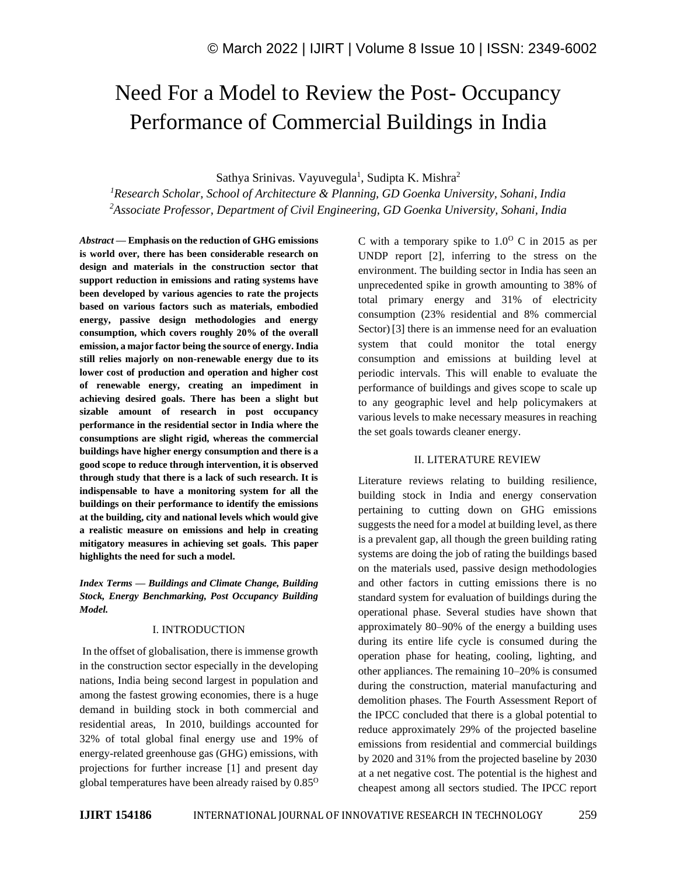# Need For a Model to Review the Post- Occupancy Performance of Commercial Buildings in India

Sathya Srinivas. Vayuvegula<sup>1</sup>, Sudipta K. Mishra<sup>2</sup>

*<sup>1</sup>Research Scholar, School of Architecture & Planning, GD Goenka University, Sohani, India <sup>2</sup>Associate Professor, Department of Civil Engineering, GD Goenka University, Sohani, India*

*Abstract —* **Emphasis on the reduction of GHG emissions is world over, there has been considerable research on design and materials in the construction sector that support reduction in emissions and rating systems have been developed by various agencies to rate the projects based on various factors such as materials, embodied energy, passive design methodologies and energy consumption, which covers roughly 20% of the overall emission, a major factor being the source of energy. India still relies majorly on non-renewable energy due to its lower cost of production and operation and higher cost of renewable energy, creating an impediment in achieving desired goals. There has been a slight but sizable amount of research in post occupancy performance in the residential sector in India where the consumptions are slight rigid, whereas the commercial buildings have higher energy consumption and there is a good scope to reduce through intervention, it is observed through study that there is a lack of such research. It is indispensable to have a monitoring system for all the buildings on their performance to identify the emissions at the building, city and national levels which would give a realistic measure on emissions and help in creating mitigatory measures in achieving set goals. This paper highlights the need for such a model.**

*Index Terms — Buildings and Climate Change, Building Stock, Energy Benchmarking, Post Occupancy Building Model.*

# I. INTRODUCTION

In the offset of globalisation, there is immense growth in the construction sector especially in the developing nations, India being second largest in population and among the fastest growing economies, there is a huge demand in building stock in both commercial and residential areas, In 2010, buildings accounted for 32% of total global final energy use and 19% of energy-related greenhouse gas (GHG) emissions, with projections for further increase [1] and present day global temperatures have been already raised by  $0.85^{\circ}$  C with a temporary spike to  $1.0^{\circ}$  C in 2015 as per UNDP report [2], inferring to the stress on the environment. The building sector in India has seen an unprecedented spike in growth amounting to 38% of total primary energy and 31% of electricity consumption (23% residential and 8% commercial Sector) [3] there is an immense need for an evaluation system that could monitor the total energy consumption and emissions at building level at periodic intervals. This will enable to evaluate the performance of buildings and gives scope to scale up to any geographic level and help policymakers at various levels to make necessary measures in reaching the set goals towards cleaner energy.

# II. LITERATURE REVIEW

Literature reviews relating to building resilience, building stock in India and energy conservation pertaining to cutting down on GHG emissions suggests the need for a model at building level, as there is a prevalent gap, all though the green building rating systems are doing the job of rating the buildings based on the materials used, passive design methodologies and other factors in cutting emissions there is no standard system for evaluation of buildings during the operational phase. Several studies have shown that approximately 80–90% of the energy a building uses during its entire life cycle is consumed during the operation phase for heating, cooling, lighting, and other appliances. The remaining 10–20% is consumed during the construction, material manufacturing and demolition phases. The Fourth Assessment Report of the IPCC concluded that there is a global potential to reduce approximately 29% of the projected baseline emissions from residential and commercial buildings by 2020 and 31% from the projected baseline by 2030 at a net negative cost. The potential is the highest and cheapest among all sectors studied. The IPCC report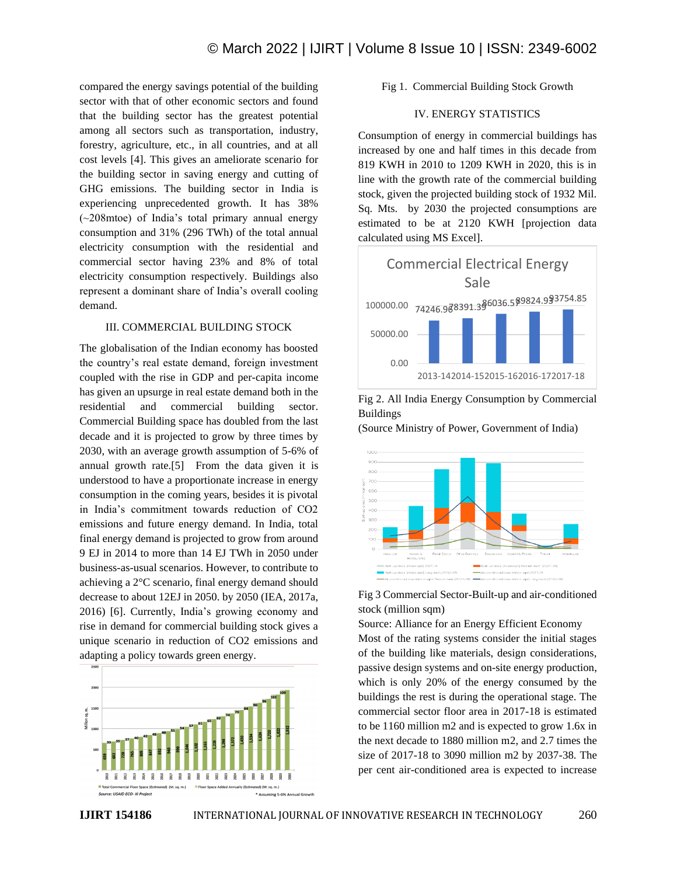compared the energy savings potential of the building sector with that of other economic sectors and found that the building sector has the greatest potential among all sectors such as transportation, industry, forestry, agriculture, etc., in all countries, and at all cost levels [4]. This gives an ameliorate scenario for the building sector in saving energy and cutting of GHG emissions. The building sector in India is experiencing unprecedented growth. It has 38% (~208mtoe) of India's total primary annual energy consumption and 31% (296 TWh) of the total annual electricity consumption with the residential and commercial sector having 23% and 8% of total electricity consumption respectively. Buildings also represent a dominant share of India's overall cooling demand.

# III. COMMERCIAL BUILDING STOCK

The globalisation of the Indian economy has boosted the country's real estate demand, foreign investment coupled with the rise in GDP and per-capita income has given an upsurge in real estate demand both in the residential and commercial building sector. Commercial Building space has doubled from the last decade and it is projected to grow by three times by 2030, with an average growth assumption of 5-6% of annual growth rate.[5] From the data given it is understood to have a proportionate increase in energy consumption in the coming years, besides it is pivotal in India's commitment towards reduction of CO2 emissions and future energy demand. In India, total final energy demand is projected to grow from around 9 EJ in 2014 to more than 14 EJ TWh in 2050 under business-as-usual scenarios. However, to contribute to achieving a 2°C scenario, final energy demand should decrease to about 12EJ in 2050. by 2050 (IEA, 2017a, 2016) [6]. Currently, India's growing economy and rise in demand for commercial building stock gives a unique scenario in reduction of CO2 emissions and adapting a policy towards green energy.



Fig 1. Commercial Building Stock Growth

# IV. ENERGY STATISTICS

Consumption of energy in commercial buildings has increased by one and half times in this decade from 819 KWH in 2010 to 1209 KWH in 2020, this is in line with the growth rate of the commercial building stock, given the projected building stock of 1932 Mil. Sq. Mts. by 2030 the projected consumptions are estimated to be at 2120 KWH [projection data calculated using MS Excel].



Fig 2. All India Energy Consumption by Commercial Buildings

(Source Ministry of Power, Government of India)



Fig 3 Commercial Sector-Built-up and air-conditioned stock (million sqm)

Source: Alliance for an Energy Efficient Economy Most of the rating systems consider the initial stages of the building like materials, design considerations, passive design systems and on-site energy production, which is only 20% of the energy consumed by the buildings the rest is during the operational stage. The commercial sector floor area in 2017-18 is estimated to be 1160 million m2 and is expected to grow 1.6x in the next decade to 1880 million m2, and 2.7 times the size of 2017-18 to 3090 million m2 by 2037-38. The per cent air-conditioned area is expected to increase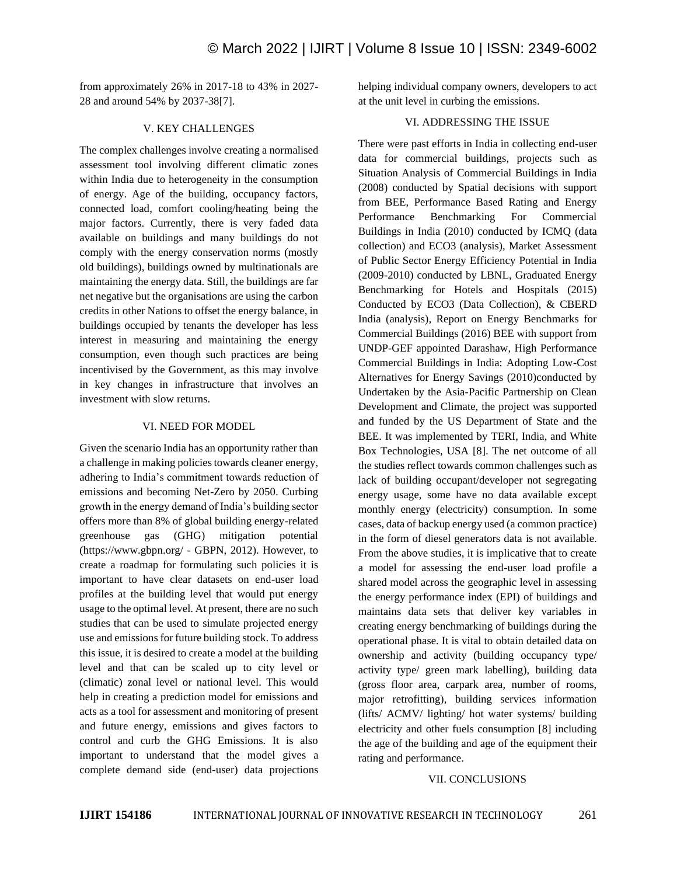from approximately 26% in 2017-18 to 43% in 2027- 28 and around 54% by 2037-38[7].

## V. KEY CHALLENGES

The complex challenges involve creating a normalised assessment tool involving different climatic zones within India due to heterogeneity in the consumption of energy. Age of the building, occupancy factors, connected load, comfort cooling/heating being the major factors. Currently, there is very faded data available on buildings and many buildings do not comply with the energy conservation norms (mostly old buildings), buildings owned by multinationals are maintaining the energy data. Still, the buildings are far net negative but the organisations are using the carbon credits in other Nations to offset the energy balance, in buildings occupied by tenants the developer has less interest in measuring and maintaining the energy consumption, even though such practices are being incentivised by the Government, as this may involve in key changes in infrastructure that involves an investment with slow returns.

### VI. NEED FOR MODEL

Given the scenario India has an opportunity rather than a challenge in making policies towards cleaner energy, adhering to India's commitment towards reduction of emissions and becoming Net-Zero by 2050. Curbing growth in the energy demand of India's building sector offers more than 8% of global building energy-related greenhouse gas (GHG) mitigation potential (https://www.gbpn.org/ - GBPN, 2012). However, to create a roadmap for formulating such policies it is important to have clear datasets on end-user load profiles at the building level that would put energy usage to the optimal level. At present, there are no such studies that can be used to simulate projected energy use and emissions for future building stock. To address this issue, it is desired to create a model at the building level and that can be scaled up to city level or (climatic) zonal level or national level. This would help in creating a prediction model for emissions and acts as a tool for assessment and monitoring of present and future energy, emissions and gives factors to control and curb the GHG Emissions. It is also important to understand that the model gives a complete demand side (end-user) data projections helping individual company owners, developers to act at the unit level in curbing the emissions.

### VI. ADDRESSING THE ISSUE

There were past efforts in India in collecting end-user data for commercial buildings, projects such as Situation Analysis of Commercial Buildings in India (2008) conducted by Spatial decisions with support from BEE, Performance Based Rating and Energy Performance Benchmarking For Commercial Buildings in India (2010) conducted by ICMQ (data collection) and ECO3 (analysis), Market Assessment of Public Sector Energy Efficiency Potential in India (2009-2010) conducted by LBNL, Graduated Energy Benchmarking for Hotels and Hospitals (2015) Conducted by ECO3 (Data Collection), & CBERD India (analysis), Report on Energy Benchmarks for Commercial Buildings (2016) BEE with support from UNDP-GEF appointed Darashaw, High Performance Commercial Buildings in India: Adopting Low-Cost Alternatives for Energy Savings (2010)conducted by Undertaken by the Asia-Pacific Partnership on Clean Development and Climate, the project was supported and funded by the US Department of State and the BEE. It was implemented by TERI, India, and White Box Technologies, USA [8]. The net outcome of all the studies reflect towards common challenges such as lack of building occupant/developer not segregating energy usage, some have no data available except monthly energy (electricity) consumption. In some cases, data of backup energy used (a common practice) in the form of diesel generators data is not available. From the above studies, it is implicative that to create a model for assessing the end-user load profile a shared model across the geographic level in assessing the energy performance index (EPI) of buildings and maintains data sets that deliver key variables in creating energy benchmarking of buildings during the operational phase. It is vital to obtain detailed data on ownership and activity (building occupancy type/ activity type/ green mark labelling), building data (gross floor area, carpark area, number of rooms, major retrofitting), building services information (lifts/ ACMV/ lighting/ hot water systems/ building electricity and other fuels consumption [8] including the age of the building and age of the equipment their rating and performance.

#### VII. CONCLUSIONS